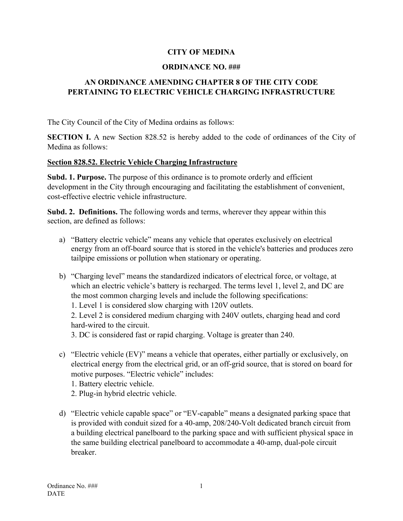### **CITY OF MEDINA**

#### **ORDINANCE NO. ###**

# **AN ORDINANCE AMENDING CHAPTER 8 OF THE CITY CODE PERTAINING TO ELECTRIC VEHICLE CHARGING INFRASTRUCTURE**

The City Council of the City of Medina ordains as follows:

**SECTION I.** A new Section 828.52 is hereby added to the code of ordinances of the City of Medina as follows:

#### **Section 828.52. Electric Vehicle Charging Infrastructure**

**Subd. 1. Purpose.** The purpose of this ordinance is to promote orderly and efficient development in the City through encouraging and facilitating the establishment of convenient, cost-effective electric vehicle infrastructure.

**Subd. 2. Definitions.** The following words and terms, wherever they appear within this section, are defined as follows:

- a) "Battery electric vehicle" means any vehicle that operates exclusively on electrical energy from an off-board source that is stored in the vehicle's batteries and produces zero tailpipe emissions or pollution when stationary or operating.
- b) "Charging level" means the standardized indicators of electrical force, or voltage, at which an electric vehicle's battery is recharged. The terms level 1, level 2, and DC are the most common charging levels and include the following specifications:

1. Level 1 is considered slow charging with 120V outlets.

2. Level 2 is considered medium charging with 240V outlets, charging head and cord hard-wired to the circuit.

3. DC is considered fast or rapid charging. Voltage is greater than 240.

- c) "Electric vehicle (EV)" means a vehicle that operates, either partially or exclusively, on electrical energy from the electrical grid, or an off-grid source, that is stored on board for motive purposes. "Electric vehicle" includes:
	- 1. Battery electric vehicle.

2. Plug-in hybrid electric vehicle.

d) "Electric vehicle capable space" or "EV-capable" means a designated parking space that is provided with conduit sized for a 40-amp, 208/240-Volt dedicated branch circuit from a building electrical panelboard to the parking space and with sufficient physical space in the same building electrical panelboard to accommodate a 40-amp, dual-pole circuit breaker.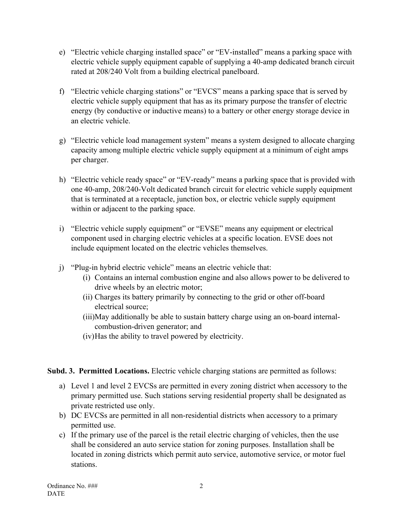- e) "Electric vehicle charging installed space" or "EV-installed" means a parking space with electric vehicle supply equipment capable of supplying a 40-amp dedicated branch circuit rated at 208/240 Volt from a building electrical panelboard.
- f) "Electric vehicle charging stations" or "EVCS" means a parking space that is served by electric vehicle supply equipment that has as its primary purpose the transfer of electric energy (by conductive or inductive means) to a battery or other energy storage device in an electric vehicle.
- g) "Electric vehicle load management system" means a system designed to allocate charging capacity among multiple electric vehicle supply equipment at a minimum of eight amps per charger.
- h) "Electric vehicle ready space" or "EV-ready" means a parking space that is provided with one 40-amp, 208/240-Volt dedicated branch circuit for electric vehicle supply equipment that is terminated at a receptacle, junction box, or electric vehicle supply equipment within or adjacent to the parking space.
- i) "Electric vehicle supply equipment" or "EVSE" means any equipment or electrical component used in charging electric vehicles at a specific location. EVSE does not include equipment located on the electric vehicles themselves.
- j) "Plug-in hybrid electric vehicle" means an electric vehicle that:
	- (i) Contains an internal combustion engine and also allows power to be delivered to drive wheels by an electric motor;
	- (ii) Charges its battery primarily by connecting to the grid or other off-board electrical source;
	- (iii)May additionally be able to sustain battery charge using an on-board internalcombustion-driven generator; and
	- (iv)Has the ability to travel powered by electricity.

# **Subd. 3. Permitted Locations.** Electric vehicle charging stations are permitted as follows:

- a) Level 1 and level 2 EVCSs are permitted in every zoning district when accessory to the primary permitted use. Such stations serving residential property shall be designated as private restricted use only.
- b) DC EVCSs are permitted in all non-residential districts when accessory to a primary permitted use.
- c) If the primary use of the parcel is the retail electric charging of vehicles, then the use shall be considered an auto service station for zoning purposes. Installation shall be located in zoning districts which permit auto service, automotive service, or motor fuel stations.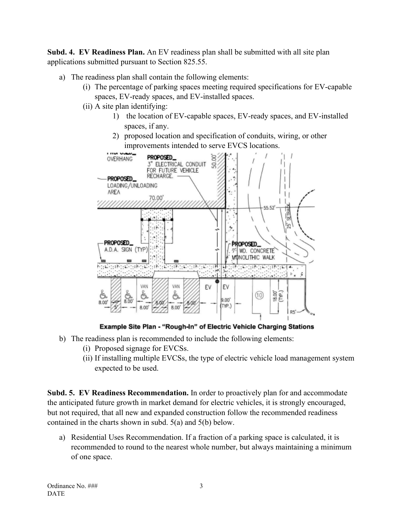**Subd. 4. EV Readiness Plan.** An EV readiness plan shall be submitted with all site plan applications submitted pursuant to Section 825.55.

- a) The readiness plan shall contain the following elements:
	- (i) The percentage of parking spaces meeting required specifications for EV-capable spaces, EV-ready spaces, and EV-installed spaces.
	- (ii) A site plan identifying:
		- 1) the location of EV-capable spaces, EV-ready spaces, and EV-installed spaces, if any.
		- 2) proposed location and specification of conduits, wiring, or other improvements intended to serve EVCS locations.



Example Site Plan - "Rough-In" of Electric Vehicle Charging Stations

- b) The readiness plan is recommended to include the following elements:
	- (i) Proposed signage for EVCSs.
	- (ii) If installing multiple EVCSs, the type of electric vehicle load management system expected to be used.

**Subd. 5. EV Readiness Recommendation.** In order to proactively plan for and accommodate the anticipated future growth in market demand for electric vehicles, it is strongly encouraged, but not required, that all new and expanded construction follow the recommended readiness contained in the charts shown in subd. 5(a) and 5(b) below.

a) Residential Uses Recommendation. If a fraction of a parking space is calculated, it is recommended to round to the nearest whole number, but always maintaining a minimum of one space.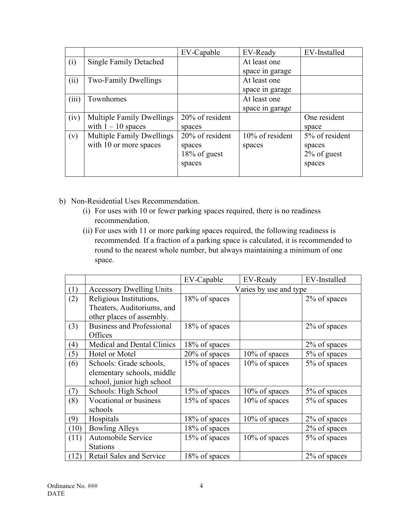|       |                                  | EV-Capable      | EV-Ready           | EV-Installed   |
|-------|----------------------------------|-----------------|--------------------|----------------|
| (i)   | <b>Single Family Detached</b>    |                 | At least one       |                |
|       |                                  |                 | space in garage    |                |
| (ii)  | Two-Family Dwellings             |                 | At least one       |                |
|       |                                  |                 | space in garage    |                |
| (iii) | Townhomes                        |                 | At least one       |                |
|       |                                  |                 | space in garage    |                |
| (iv)  | <b>Multiple Family Dwellings</b> | 20% of resident |                    | One resident   |
|       | with $1 - 10$ spaces             | spaces          |                    | space          |
| (v)   | <b>Multiple Family Dwellings</b> | 20% of resident | $10\%$ of resident | 5% of resident |
|       | with 10 or more spaces           | spaces          | spaces             | spaces         |
|       |                                  | 18% of guest    |                    | $2\%$ of guest |
|       |                                  | spaces          |                    | spaces         |
|       |                                  |                 |                    |                |

- b) Non-Residential Uses Recommendation.
	- (i) For uses with 10 or fewer parking spaces required, there is no readiness recommendation.
	- (ii) For uses with 11 or more parking spaces required, the following readiness is recommended. If a fraction of a parking space is calculated, it is recommended to round to the nearest whole number, but always maintaining a minimum of one space.

|                   |                                   | EV-Capable             | EV-Ready      | EV-Installed |
|-------------------|-----------------------------------|------------------------|---------------|--------------|
| (1)               | <b>Accessory Dwelling Units</b>   | Varies by use and type |               |              |
| (2)               | Religious Institutions,           | 18% of spaces          |               | 2% of spaces |
|                   | Theaters, Auditoriums, and        |                        |               |              |
|                   | other places of assembly.         |                        |               |              |
| (3)               | <b>Business and Professional</b>  | 18% of spaces          |               | 2% of spaces |
|                   | Offices                           |                        |               |              |
| $\left( 4\right)$ | <b>Medical and Dental Clinics</b> | 18% of spaces          |               | 2% of spaces |
| (5)               | Hotel or Motel                    | 20% of spaces          | 10% of spaces | 5% of spaces |
| (6)               | Schools: Grade schools,           | 15% of spaces          | 10% of spaces | 5% of spaces |
|                   | elementary schools, middle        |                        |               |              |
|                   | school, junior high school        |                        |               |              |
| (7)               | Schools: High School              | 15% of spaces          | 10% of spaces | 5% of spaces |
| (8)               | Vocational or business            | 15% of spaces          | 10% of spaces | 5% of spaces |
|                   | schools                           |                        |               |              |
| (9)               | Hospitals                         | 18% of spaces          | 10% of spaces | 2% of spaces |
| (10)              | <b>Bowling Alleys</b>             | 18% of spaces          |               | 2% of spaces |
| (11)              | Automobile Service                | 15% of spaces          | 10% of spaces | 5% of spaces |
|                   | <b>Stations</b>                   |                        |               |              |
| (12)              | Retail Sales and Service          | 18% of spaces          |               | 2% of spaces |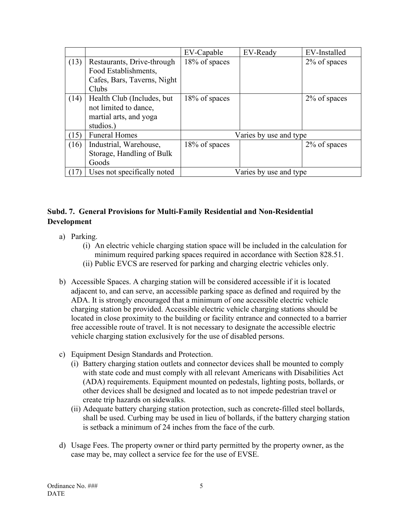|      |                             | EV-Capable             | EV-Ready | EV-Installed |
|------|-----------------------------|------------------------|----------|--------------|
| (13) | Restaurants, Drive-through  | 18% of spaces          |          | 2% of spaces |
|      | Food Establishments,        |                        |          |              |
|      | Cafes, Bars, Taverns, Night |                        |          |              |
|      | Clubs                       |                        |          |              |
| (14) | Health Club (Includes, but  | 18% of spaces          |          | 2% of spaces |
|      | not limited to dance,       |                        |          |              |
|      | martial arts, and yoga      |                        |          |              |
|      | studios.)                   |                        |          |              |
| (15) | <b>Funeral Homes</b>        | Varies by use and type |          |              |
| (16) | Industrial, Warehouse,      | 18% of spaces          |          | 2% of spaces |
|      | Storage, Handling of Bulk   |                        |          |              |
|      | Goods                       |                        |          |              |
|      | Uses not specifically noted | Varies by use and type |          |              |

# **Subd. 7. General Provisions for Multi-Family Residential and Non-Residential Development**

- a) Parking.
	- (i) An electric vehicle charging station space will be included in the calculation for minimum required parking spaces required in accordance with Section 828.51.
	- (ii) Public EVCS are reserved for parking and charging electric vehicles only.
- b) Accessible Spaces. A charging station will be considered accessible if it is located adjacent to, and can serve, an accessible parking space as defined and required by the ADA. It is strongly encouraged that a minimum of one accessible electric vehicle charging station be provided. Accessible electric vehicle charging stations should be located in close proximity to the building or facility entrance and connected to a barrier free accessible route of travel. It is not necessary to designate the accessible electric vehicle charging station exclusively for the use of disabled persons.
- c) Equipment Design Standards and Protection.
	- (i) Battery charging station outlets and connector devices shall be mounted to comply with state code and must comply with all relevant Americans with Disabilities Act (ADA) requirements. Equipment mounted on pedestals, lighting posts, bollards, or other devices shall be designed and located as to not impede pedestrian travel or create trip hazards on sidewalks.
	- (ii) Adequate battery charging station protection, such as concrete-filled steel bollards, shall be used. Curbing may be used in lieu of bollards, if the battery charging station is setback a minimum of 24 inches from the face of the curb.
- d) Usage Fees. The property owner or third party permitted by the property owner, as the case may be, may collect a service fee for the use of EVSE.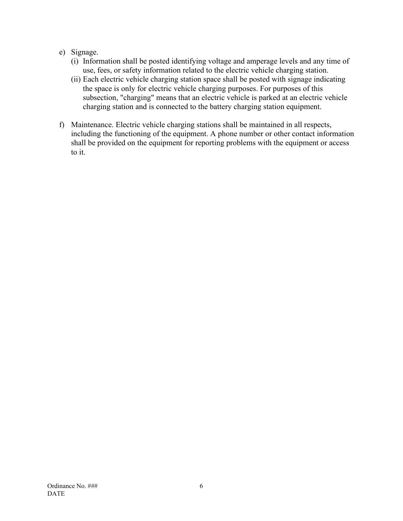### e) Signage.

- (i) Information shall be posted identifying voltage and amperage levels and any time of use, fees, or safety information related to the electric vehicle charging station.
- (ii) Each electric vehicle charging station space shall be posted with signage indicating the space is only for electric vehicle charging purposes. For purposes of this subsection, "charging" means that an electric vehicle is parked at an electric vehicle charging station and is connected to the battery charging station equipment.
- f) Maintenance. Electric vehicle charging stations shall be maintained in all respects, including the functioning of the equipment. A phone number or other contact information shall be provided on the equipment for reporting problems with the equipment or access to it.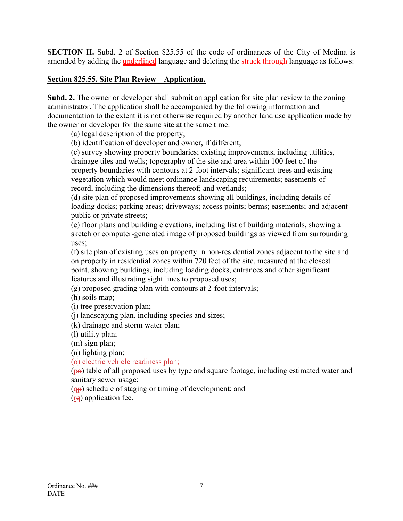**SECTION II.** Subd. 2 of Section 825.55 of the code of ordinances of the City of Medina is amended by adding the **underlined** language and deleting the struck through language as follows:

#### **Section 825.55. Site Plan Review – Application.**

**Subd. 2.** The owner or developer shall submit an application for site plan review to the zoning administrator. The application shall be accompanied by the following information and documentation to the extent it is not otherwise required by another land use application made by the owner or developer for the same site at the same time:

(a) legal description of the property;

(b) identification of developer and owner, if different;

(c) survey showing property boundaries; existing improvements, including utilities, drainage tiles and wells; topography of the site and area within 100 feet of the property boundaries with contours at 2-foot intervals; significant trees and existing vegetation which would meet ordinance landscaping requirements; easements of record, including the dimensions thereof; and wetlands;

(d) site plan of proposed improvements showing all buildings, including details of loading docks; parking areas; driveways; access points; berms; easements; and adjacent public or private streets;

(e) floor plans and building elevations, including list of building materials, showing a sketch or computer-generated image of proposed buildings as viewed from surrounding uses;

(f) site plan of existing uses on property in non-residential zones adjacent to the site and on property in residential zones within 720 feet of the site, measured at the closest point, showing buildings, including loading docks, entrances and other significant features and illustrating sight lines to proposed uses;

(g) proposed grading plan with contours at 2-foot intervals;

(h) soils map;

(i) tree preservation plan;

(j) landscaping plan, including species and sizes;

(k) drainage and storm water plan;

(l) utility plan;

(m) sign plan;

(n) lighting plan;

(o) electric vehicle readiness plan;

 $(p<sub>e</sub>)$  table of all proposed uses by type and square footage, including estimated water and sanitary sewer usage;

 $(q<sub>p</sub>)$  schedule of staging or timing of development; and

(rq) application fee.